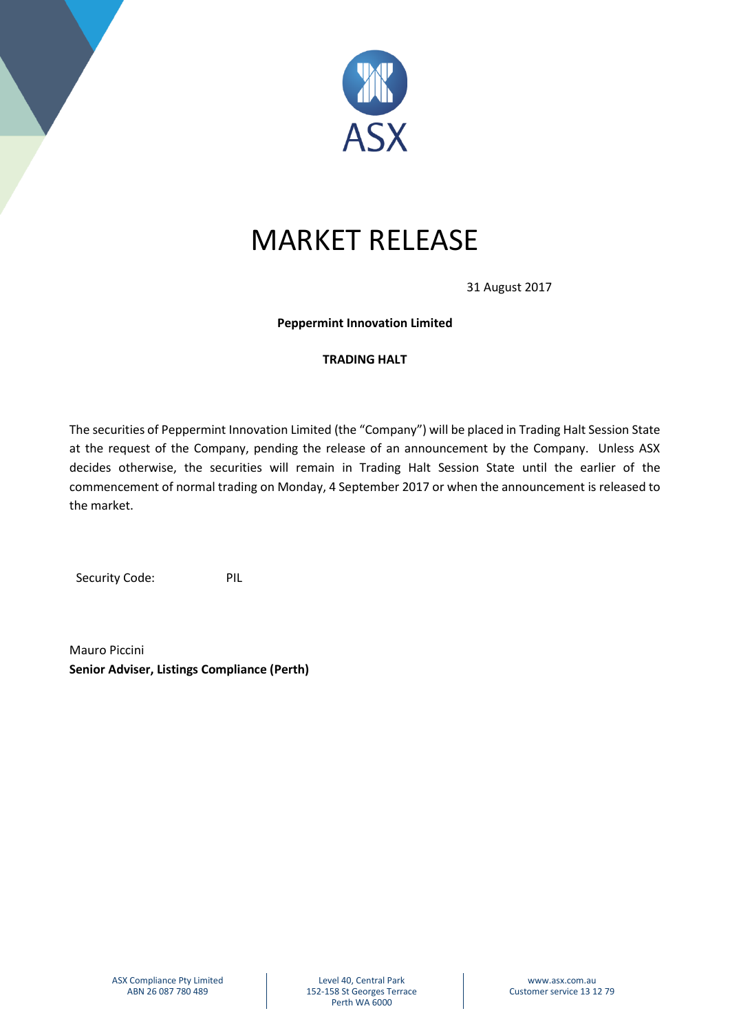

## MARKET RELEASE

31 August 2017

**Peppermint Innovation Limited**

## **TRADING HALT**

The securities of Peppermint Innovation Limited (the "Company") will be placed in Trading Halt Session State at the request of the Company, pending the release of an announcement by the Company. Unless ASX decides otherwise, the securities will remain in Trading Halt Session State until the earlier of the commencement of normal trading on Monday, 4 September 2017 or when the announcement is released to the market.

Security Code: PIL

Mauro Piccini **Senior Adviser, Listings Compliance (Perth)**